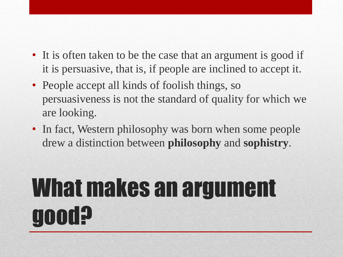- It is often taken to be the case that an argument is good if it is persuasive, that is, if people are inclined to accept it.
- People accept all kinds of foolish things, so persuasiveness is not the standard of quality for which we are looking.
- In fact, Western philosophy was born when some people drew a distinction between **philosophy** and **sophistry**.

### What makes an argument good?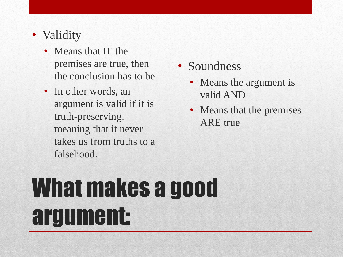#### • Validity

- Means that IF the premises are true, then the conclusion has to be
- In other words, an argument is valid if it is truth-preserving, meaning that it never takes us from truths to a falsehood.
- Soundness
	- Means the argument is valid AND
	- Means that the premises ARE true

## What makes a good argument: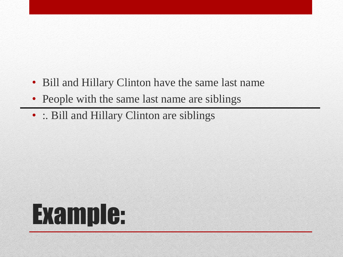- Bill and Hillary Clinton have the same last name
- People with the same last name are siblings
- :. Bill and Hillary Clinton are siblings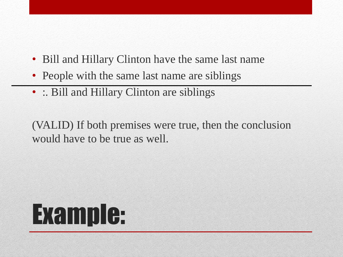- Bill and Hillary Clinton have the same last name
- People with the same last name are siblings
- : Bill and Hillary Clinton are siblings

(VALID) If both premises were true, then the conclusion would have to be true as well.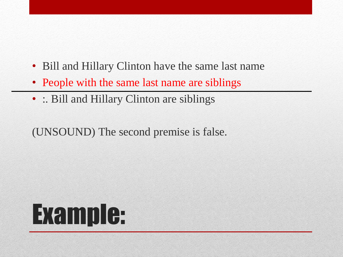- Bill and Hillary Clinton have the same last name
- People with the same last name are siblings
- : Bill and Hillary Clinton are siblings

(UNSOUND) The second premise is false.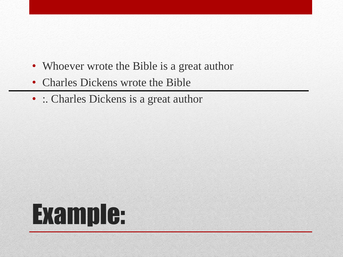- Whoever wrote the Bible is a great author
- Charles Dickens wrote the Bible
- : Charles Dickens is a great author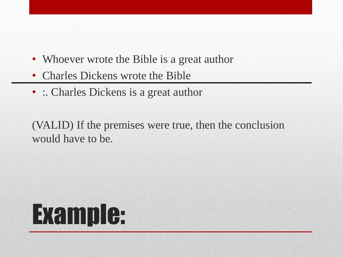- Whoever wrote the Bible is a great author
- Charles Dickens wrote the Bible
- : Charles Dickens is a great author

(VALID) If the premises were true, then the conclusion would have to be.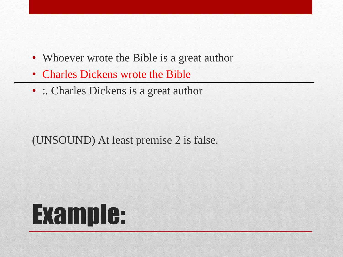- Whoever wrote the Bible is a great author
- Charles Dickens wrote the Bible
- : Charles Dickens is a great author

(UNSOUND) At least premise 2 is false.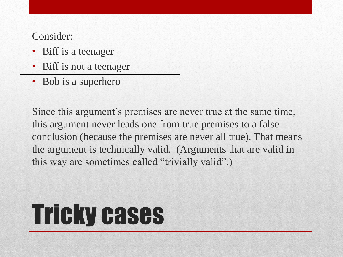Consider:

- Biff is a teenager
- Biff is not a teenager
- Bob is a superhero

Since this argument's premises are never true at the same time, this argument never leads one from true premises to a false conclusion (because the premises are never all true). That means the argument is technically valid. (Arguments that are valid in this way are sometimes called "trivially valid".)

## Tricky cases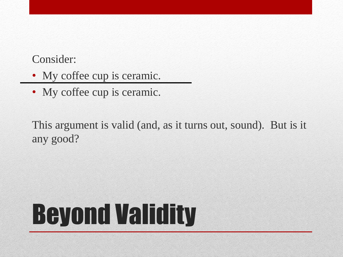#### Consider:

- My coffee cup is ceramic.
- My coffee cup is ceramic.

This argument is valid (and, as it turns out, sound). But is it any good?

# Beyond Validity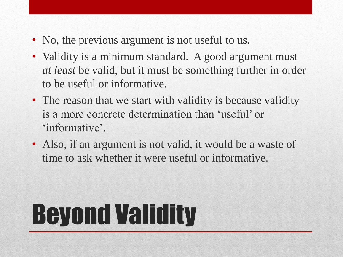- No, the previous argument is not useful to us.
- Validity is a minimum standard. A good argument must *at least* be valid, but it must be something further in order to be useful or informative.
- The reason that we start with validity is because validity is a more concrete determination than 'useful' or 'informative'.
- Also, if an argument is not valid, it would be a waste of time to ask whether it were useful or informative.

# Beyond Validity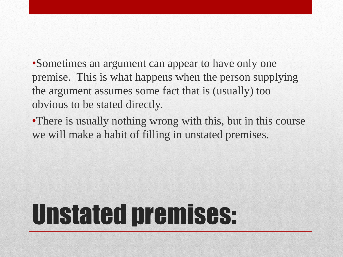•Sometimes an argument can appear to have only one premise. This is what happens when the person supplying the argument assumes some fact that is (usually) too obvious to be stated directly.

•There is usually nothing wrong with this, but in this course we will make a habit of filling in unstated premises.

## Unstated premises: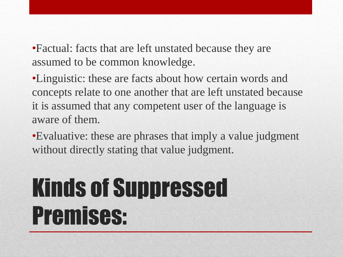•Factual: facts that are left unstated because they are assumed to be common knowledge.

•Linguistic: these are facts about how certain words and concepts relate to one another that are left unstated because it is assumed that any competent user of the language is aware of them.

•Evaluative: these are phrases that imply a value judgment without directly stating that value judgment.

### Kinds of Suppressed Premises: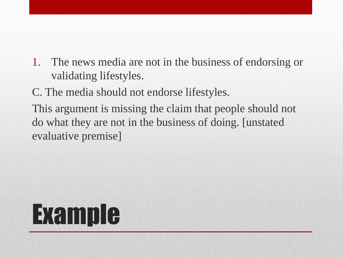1. The news media are not in the business of endorsing or validating lifestyles.

C. The media should not endorse lifestyles.

This argument is missing the claim that people should not do what they are not in the business of doing. [unstated evaluative premise]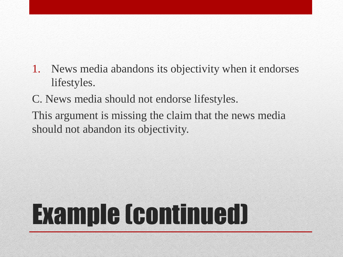- 1. News media abandons its objectivity when it endorses lifestyles.
- C. News media should not endorse lifestyles.
- This argument is missing the claim that the news media should not abandon its objectivity.

# Example (continued)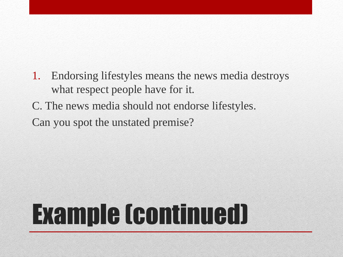- 1. Endorsing lifestyles means the news media destroys what respect people have for it.
- C. The news media should not endorse lifestyles.

Can you spot the unstated premise?

## Example (continued)